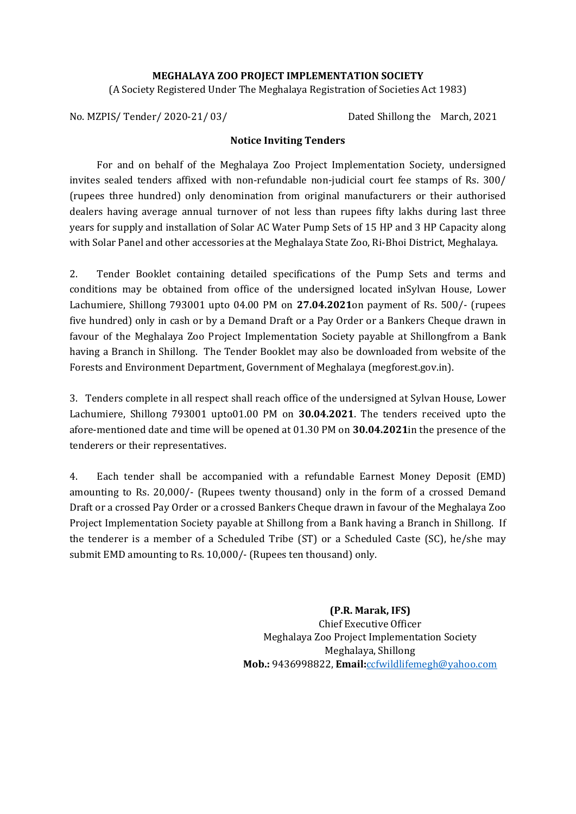#### **MEGHALAYA ZOO PROJECT IMPLEMENTATION SOCIETY**

(A Society Registered Under The Meghalaya Registration of Societies Act 1983)

No. MZPIS/Tender/2020-21/03/ Dated Shillong the March, 2021

#### **Notice Inviting Tenders**

For and on behalf of the Meghalaya Zoo Project Implementation Society, undersigned invites sealed tenders affixed with non-refundable non-judicial court fee stamps of Rs. 300/ (rupees three hundred) only denomination from original manufacturers or their authorised dealers having average annual turnover of not less than rupees fifty lakhs during last three years for supply and installation of Solar AC Water Pump Sets of 15 HP and 3 HP Capacity along with Solar Panel and other accessories at the Meghalaya State Zoo, Ri-Bhoi District, Meghalaya.

2. Tender Booklet containing detailed specifications of the Pump Sets and terms and conditions may be obtained from office of the undersigned located inSylvan House, Lower Lachumiere, Shillong 793001 upto 04.00 PM on **27.04.2021**on payment of Rs. 500/- (rupees five hundred) only in cash or by a Demand Draft or a Pay Order or a Bankers Cheque drawn in favour of the Meghalaya Zoo Project Implementation Society payable at Shillongfrom a Bank having a Branch in Shillong. The Tender Booklet may also be downloaded from website of the Forests and Environment Department, Government of Meghalaya (megforest.gov.in).

3. Tenders complete in all respect shall reach office of the undersigned at Sylvan House, Lower Lachumiere, Shillong 793001 upto01.00 PM on **30.04.2021**. The tenders received upto the afore-mentioned date and time will be opened at 01.30 PM on **30.04.2021**in the presence of the tenderers or their representatives.

4. Each tender shall be accompanied with a refundable Earnest Money Deposit (EMD) amounting to Rs. 20,000/- (Rupees twenty thousand) only in the form of a crossed Demand Draft or a crossed Pay Order or a crossed Bankers Cheque drawn in favour of the Meghalaya Zoo Project Implementation Society payable at Shillong from a Bank having a Branch in Shillong. If the tenderer is a member of a Scheduled Tribe (ST) or a Scheduled Caste (SC), he/she may submit EMD amounting to Rs. 10,000/- (Rupees ten thousand) only.

> **(P.R. Marak, IFS)** Chief Executive Officer Meghalaya Zoo Project Implementation Society Meghalaya, Shillong **Mob.:** 9436998822, **Email:**[ccfwildlifemegh@yahoo.com](mailto:ccfwildlifemegh@yahoo.com)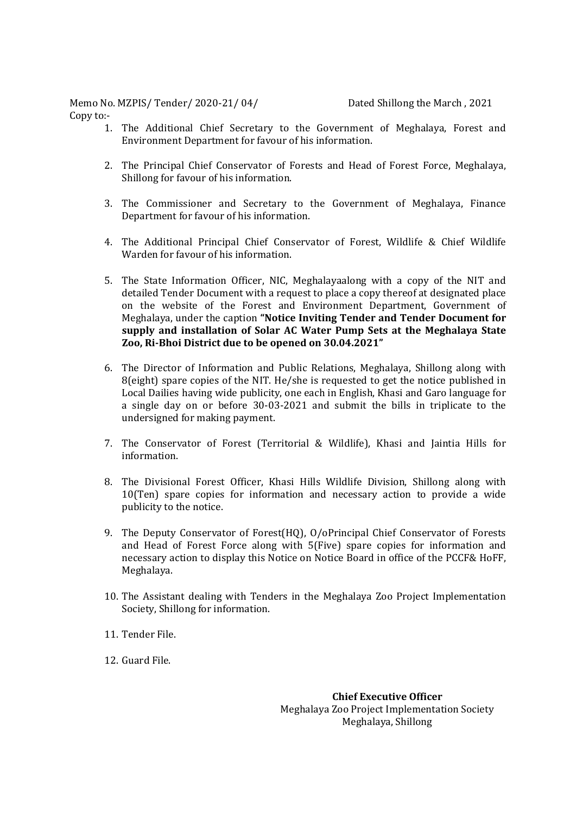Memo No. MZPIS/ Tender/ 2020-21/ 04/ Dated Shillong the March , 2021 Copy to:-

- 1. The Additional Chief Secretary to the Government of Meghalaya, Forest and Environment Department for favour of his information.
- 2. The Principal Chief Conservator of Forests and Head of Forest Force, Meghalaya, Shillong for favour of his information.
- 3. The Commissioner and Secretary to the Government of Meghalaya, Finance Department for favour of his information.
- 4. The Additional Principal Chief Conservator of Forest, Wildlife & Chief Wildlife Warden for favour of his information.
- 5. The State Information Officer, NIC, Meghalayaalong with a copy of the NIT and detailed Tender Document with a request to place a copy thereof at designated place on the website of the Forest and Environment Department, Government of Meghalaya, under the caption **"Notice Inviting Tender and Tender Document for supply and installation of Solar AC Water Pump Sets at the Meghalaya State Zoo, Ri-Bhoi District due to be opened on 30.04.2021"**
- 6. The Director of Information and Public Relations, Meghalaya, Shillong along with 8(eight) spare copies of the NIT. He/she is requested to get the notice published in Local Dailies having wide publicity, one each in English, Khasi and Garo language for a single day on or before 30-03-2021 and submit the bills in triplicate to the undersigned for making payment.
- 7. The Conservator of Forest (Territorial & Wildlife), Khasi and Jaintia Hills for information.
- 8. The Divisional Forest Officer, Khasi Hills Wildlife Division, Shillong along with 10(Ten) spare copies for information and necessary action to provide a wide publicity to the notice.
- 9. The Deputy Conservator of Forest(HQ), O/oPrincipal Chief Conservator of Forests and Head of Forest Force along with 5(Five) spare copies for information and necessary action to display this Notice on Notice Board in office of the PCCF& HoFF, Meghalaya.
- 10. The Assistant dealing with Tenders in the Meghalaya Zoo Project Implementation Society, Shillong for information.
- 11. Tender File.
- 12. Guard File.

**Chief Executive Officer** Meghalaya Zoo Project Implementation Society Meghalaya, Shillong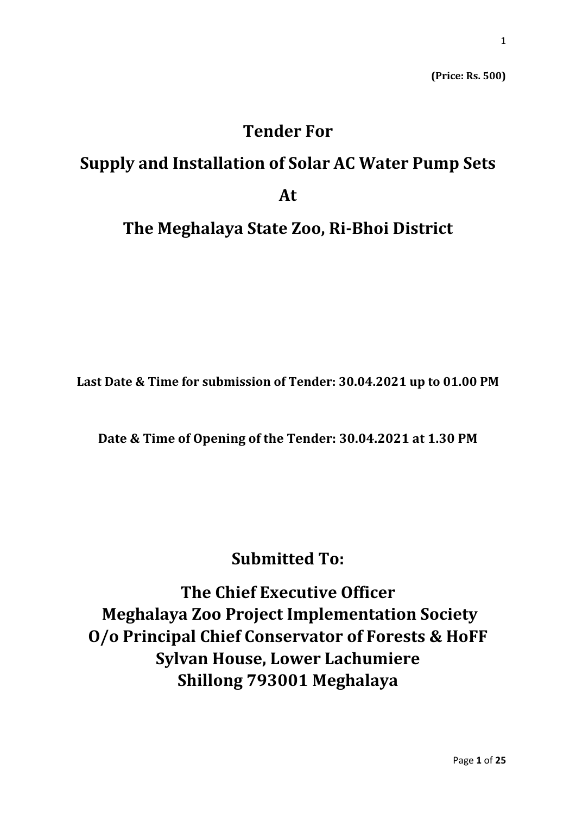**(Price: Rs. 500)**

# **Tender For**

# **Supply and Installation of Solar AC Water Pump Sets At**

### **The Meghalaya State Zoo, Ri-Bhoi District**

**Last Date & Time for submission of Tender: 30.04.2021 up to 01.00 PM**

**Date & Time of Opening of the Tender: 30.04.2021 at 1.30 PM**

## **Submitted To:**

**The Chief Executive Officer Meghalaya Zoo Project Implementation Society O/o Principal Chief Conservator of Forests & HoFF Sylvan House, Lower Lachumiere Shillong 793001 Meghalaya**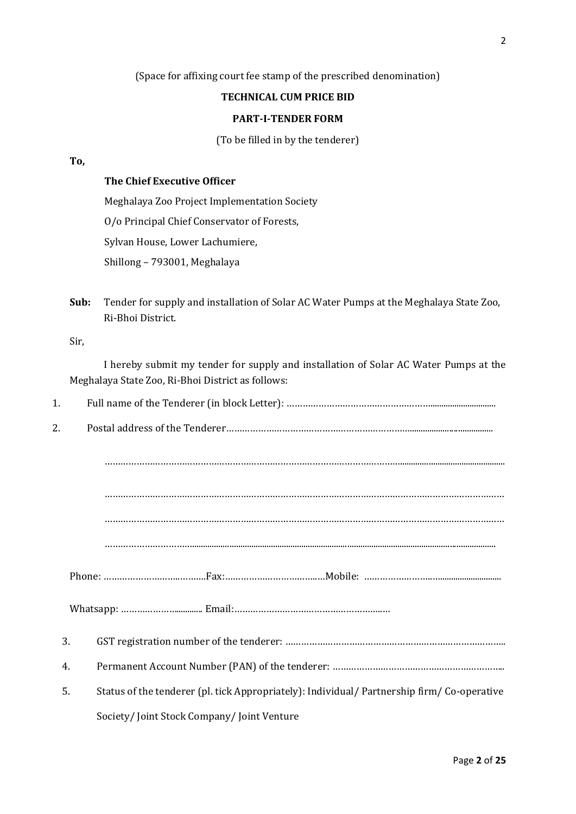#### (Space for affixing court fee stamp of the prescribed denomination)

#### **TECHNICAL CUM PRICE BID**

#### **PART-I-TENDER FORM**

(To be filled in by the tenderer)

#### **To,**

#### **The Chief Executive Officer**

Meghalaya Zoo Project Implementation Society

O/o Principal Chief Conservator of Forests,

Sylvan House, Lower Lachumiere,

Shillong – 793001, Meghalaya

**Sub:** Tender for supply and installation of Solar AC Water Pumps at the Meghalaya State Zoo, Ri-Bhoi District.

Sir,

I hereby submit my tender for supply and installation of Solar AC Water Pumps at the Meghalaya State Zoo, Ri-Bhoi District as follows:

| 1. |                                                                                             |
|----|---------------------------------------------------------------------------------------------|
| 2. |                                                                                             |
|    |                                                                                             |
|    |                                                                                             |
|    |                                                                                             |
|    |                                                                                             |
|    |                                                                                             |
|    |                                                                                             |
| 3. |                                                                                             |
| 4. |                                                                                             |
| 5. | Status of the tenderer (pl. tick Appropriately): Individual/ Partnership firm/ Co-operative |
|    | Society/Joint Stock Company/Joint Venture                                                   |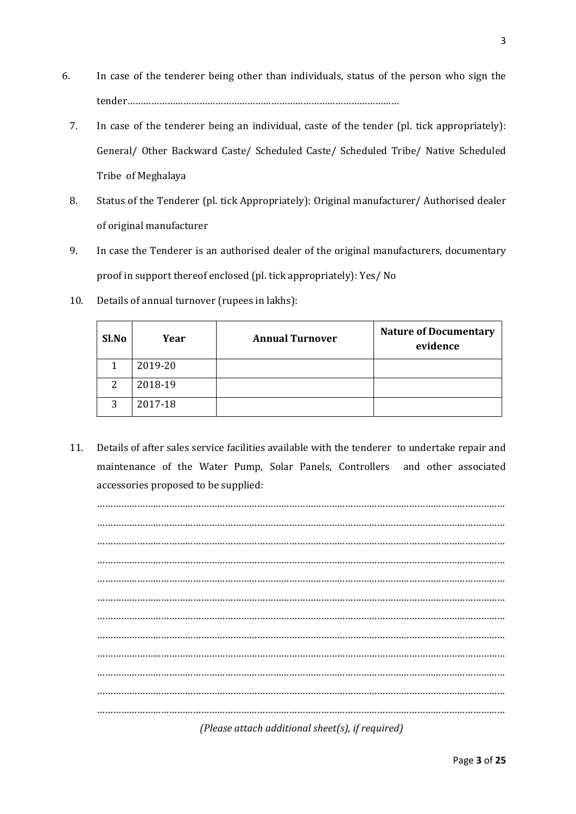- 6. In case of the tenderer being other than individuals, status of the person who sign the tender…………………………………………………………………………………………
	- 7. In case of the tenderer being an individual, caste of the tender (pl. tick appropriately): General/ Other Backward Caste/ Scheduled Caste/ Scheduled Tribe/ Native Scheduled Tribe of Meghalaya
	- 8. Status of the Tenderer (pl. tick Appropriately): Original manufacturer/ Authorised dealer of original manufacturer
	- 9. In case the Tenderer is an authorised dealer of the original manufacturers, documentary proof in support thereof enclosed (pl. tick appropriately): Yes/ No
	- 10. Details of annual turnover (rupees in lakhs):

| Sl.No | Year    | <b>Annual Turnover</b> | <b>Nature of Documentary</b><br>evidence |
|-------|---------|------------------------|------------------------------------------|
|       | 2019-20 |                        |                                          |
| 2     | 2018-19 |                        |                                          |
| 3     | 2017-18 |                        |                                          |

11. Details of after sales service facilities available with the tenderer to undertake repair and maintenance of the Water Pump, Solar Panels, Controllers and other associated accessories proposed to be supplied:

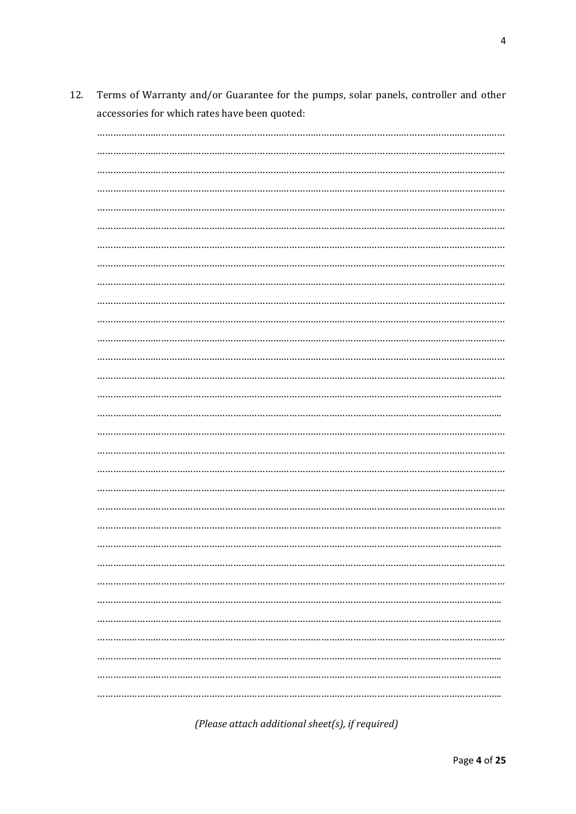Terms of Warranty and/or Guarantee for the pumps, solar panels, controller and other 12. accessories for which rates have been quoted:

(Please attach additional sheet(s), if required)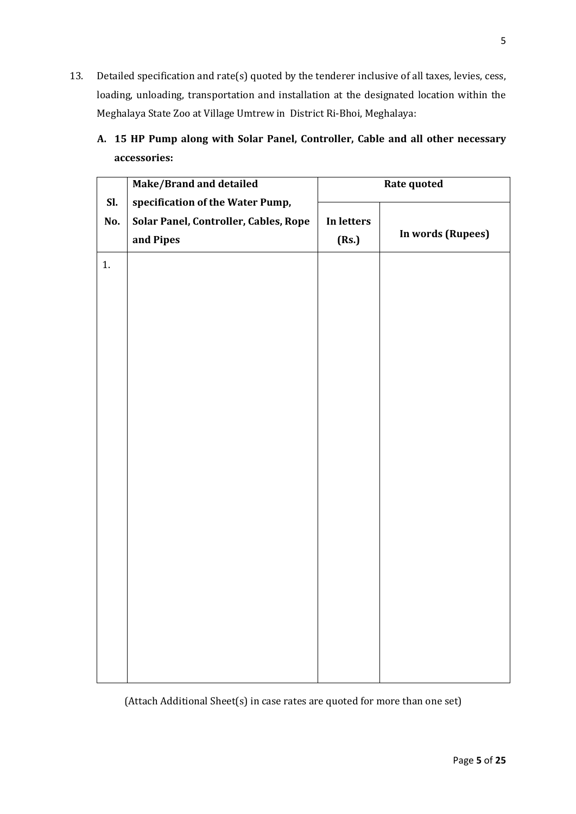- 13. Detailed specification and rate(s) quoted by the tenderer inclusive of all taxes, levies, cess, loading, unloading, transportation and installation at the designated location within the Meghalaya State Zoo at Village Umtrew in District Ri-Bhoi, Meghalaya:
	- **A. 15 HP Pump along with Solar Panel, Controller, Cable and all other necessary accessories:**

|     | Make/Brand and detailed               | Rate quoted |                   |  |
|-----|---------------------------------------|-------------|-------------------|--|
| Sl. | specification of the Water Pump,      |             |                   |  |
| No. | Solar Panel, Controller, Cables, Rope | In letters  |                   |  |
|     | and Pipes                             | (Rs.)       | In words (Rupees) |  |
| 1.  |                                       |             |                   |  |
|     |                                       |             |                   |  |
|     |                                       |             |                   |  |
|     |                                       |             |                   |  |
|     |                                       |             |                   |  |
|     |                                       |             |                   |  |
|     |                                       |             |                   |  |
|     |                                       |             |                   |  |
|     |                                       |             |                   |  |
|     |                                       |             |                   |  |
|     |                                       |             |                   |  |
|     |                                       |             |                   |  |
|     |                                       |             |                   |  |
|     |                                       |             |                   |  |
|     |                                       |             |                   |  |
|     |                                       |             |                   |  |
|     |                                       |             |                   |  |
|     |                                       |             |                   |  |
|     |                                       |             |                   |  |
|     |                                       |             |                   |  |
|     |                                       |             |                   |  |
|     |                                       |             |                   |  |
|     |                                       |             |                   |  |
|     |                                       |             |                   |  |

(Attach Additional Sheet(s) in case rates are quoted for more than one set)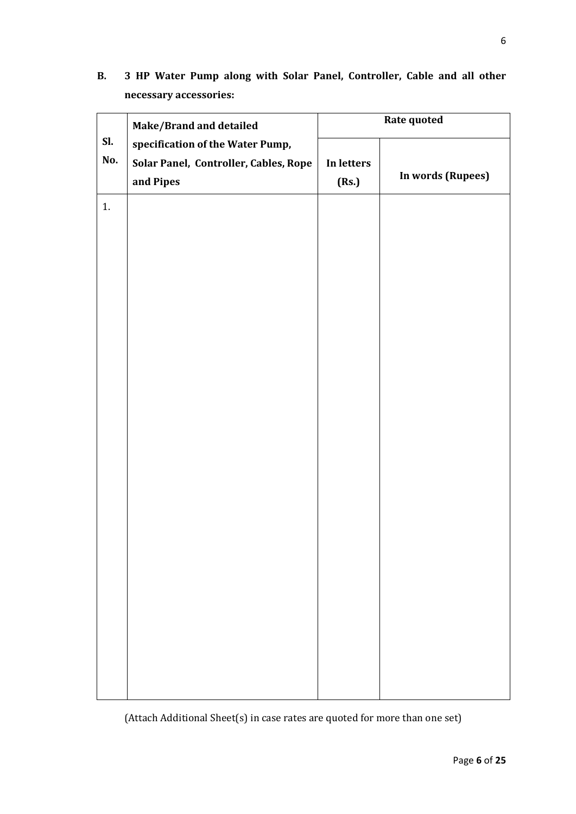**B. 3 HP Water Pump along with Solar Panel, Controller, Cable and all other necessary accessories:**

|            | Make/Brand and detailed                                                                |                     | Rate quoted       |
|------------|----------------------------------------------------------------------------------------|---------------------|-------------------|
| Sl.<br>No. | specification of the Water Pump,<br>Solar Panel, Controller, Cables, Rope<br>and Pipes | In letters<br>(Rs.) | In words (Rupees) |
| 1.         |                                                                                        |                     |                   |
|            |                                                                                        |                     |                   |
|            |                                                                                        |                     |                   |
|            |                                                                                        |                     |                   |
|            |                                                                                        |                     |                   |
|            |                                                                                        |                     |                   |
|            |                                                                                        |                     |                   |
|            |                                                                                        |                     |                   |
|            |                                                                                        |                     |                   |
|            |                                                                                        |                     |                   |
|            |                                                                                        |                     |                   |
|            |                                                                                        |                     |                   |
|            |                                                                                        |                     |                   |

(Attach Additional Sheet(s) in case rates are quoted for more than one set)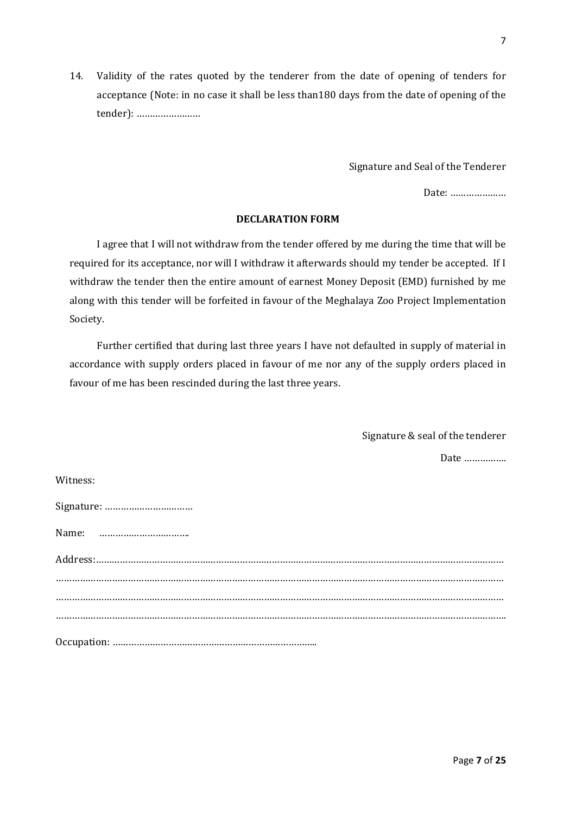14. Validity of the rates quoted by the tenderer from the date of opening of tenders for acceptance (Note: in no case it shall be less than180 days from the date of opening of the tender): ……………………

Signature and Seal of the Tenderer

Date: …………………

#### **DECLARATION FORM**

I agree that I will not withdraw from the tender offered by me during the time that will be required for its acceptance, nor will I withdraw it afterwards should my tender be accepted. If I withdraw the tender then the entire amount of earnest Money Deposit (EMD) furnished by me along with this tender will be forfeited in favour of the Meghalaya Zoo Project Implementation Society.

Further certified that during last three years I have not defaulted in supply of material in accordance with supply orders placed in favour of me nor any of the supply orders placed in favour of me has been rescinded during the last three years.

> Signature & seal of the tenderer Date …………….

| Witness: |
|----------|
|----------|

| Signature: |
|------------|
|            |
|            |
|            |
|            |
|            |
|            |
|            |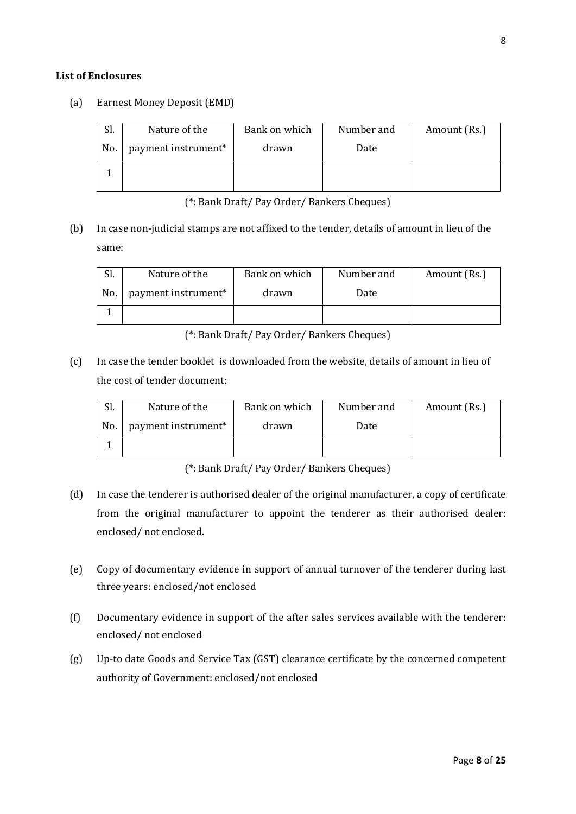#### **List of Enclosures**

(a) Earnest Money Deposit (EMD)

| Sl. | Nature of the       | Bank on which | Number and | Amount (Rs.) |
|-----|---------------------|---------------|------------|--------------|
| No. | payment instrument* | drawn         | Date       |              |
|     |                     |               |            |              |

(\*: Bank Draft/ Pay Order/ Bankers Cheques)

(b) In case non-judicial stamps are not affixed to the tender, details of amount in lieu of the same:

| 51. | Nature of the                   | Bank on which | Number and | Amount (Rs.) |
|-----|---------------------------------|---------------|------------|--------------|
| No. | payment instrument <sup>*</sup> | drawn         | Date       |              |
|     |                                 |               |            |              |

(\*: Bank Draft/ Pay Order/ Bankers Cheques)

(c) In case the tender booklet is downloaded from the website, details of amount in lieu of the cost of tender document:

| Sl. | Nature of the       | Bank on which | Number and | Amount (Rs.) |
|-----|---------------------|---------------|------------|--------------|
| No. | payment instrument* | drawn         | Date       |              |
|     |                     |               |            |              |

(\*: Bank Draft/ Pay Order/ Bankers Cheques)

- (d) In case the tenderer is authorised dealer of the original manufacturer, a copy of certificate from the original manufacturer to appoint the tenderer as their authorised dealer: enclosed/ not enclosed.
- (e) Copy of documentary evidence in support of annual turnover of the tenderer during last three years: enclosed/not enclosed
- (f) Documentary evidence in support of the after sales services available with the tenderer: enclosed/ not enclosed
- (g) Up-to date Goods and Service Tax (GST) clearance certificate by the concerned competent authority of Government: enclosed/not enclosed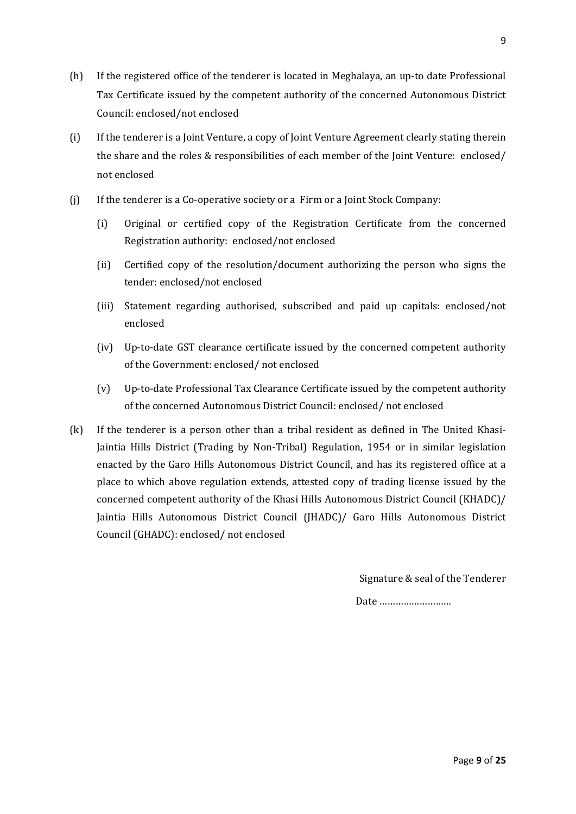- (h) If the registered office of the tenderer is located in Meghalaya, an up-to date Professional Tax Certificate issued by the competent authority of the concerned Autonomous District Council: enclosed/not enclosed
- (i) If the tenderer is a Joint Venture, a copy of Joint Venture Agreement clearly stating therein the share and the roles & responsibilities of each member of the Joint Venture: enclosed/ not enclosed
- (j) If the tenderer is a Co-operative society or a Firm or a Joint Stock Company:
	- (i) Original or certified copy of the Registration Certificate from the concerned Registration authority: enclosed/not enclosed
	- (ii) Certified copy of the resolution/document authorizing the person who signs the tender: enclosed/not enclosed
	- (iii) Statement regarding authorised, subscribed and paid up capitals: enclosed/not enclosed
	- (iv) Up-to-date GST clearance certificate issued by the concerned competent authority of the Government: enclosed/ not enclosed
	- (v) Up-to-date Professional Tax Clearance Certificate issued by the competent authority of the concerned Autonomous District Council: enclosed/ not enclosed
- (k) If the tenderer is a person other than a tribal resident as defined in The United Khasi-Jaintia Hills District (Trading by Non-Tribal) Regulation, 1954 or in similar legislation enacted by the Garo Hills Autonomous District Council, and has its registered office at a place to which above regulation extends, attested copy of trading license issued by the concerned competent authority of the Khasi Hills Autonomous District Council (KHADC)/ Jaintia Hills Autonomous District Council (JHADC)/ Garo Hills Autonomous District Council (GHADC): enclosed/ not enclosed

Signature & seal of the Tenderer

Date ………………………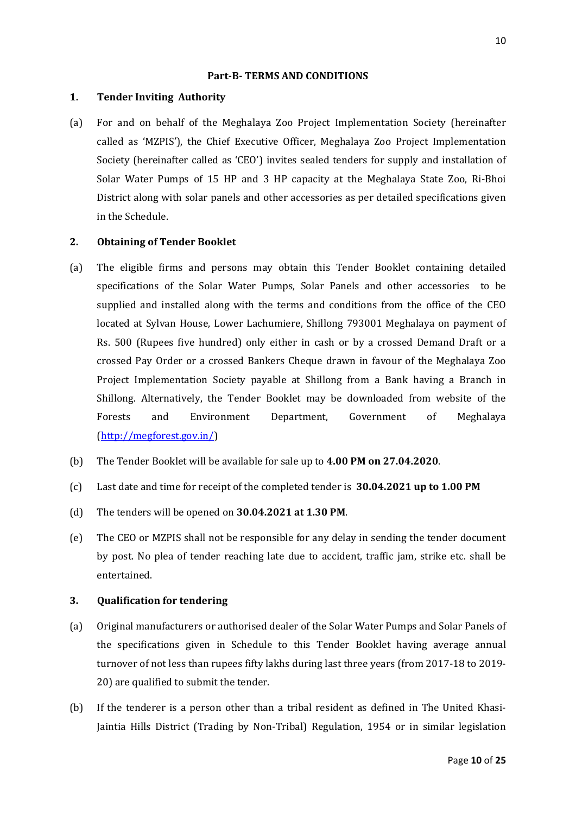#### **Part-B- TERMS AND CONDITIONS**

#### **1. Tender Inviting Authority**

(a) For and on behalf of the Meghalaya Zoo Project Implementation Society (hereinafter called as 'MZPIS'), the Chief Executive Officer, Meghalaya Zoo Project Implementation Society (hereinafter called as 'CEO') invites sealed tenders for supply and installation of Solar Water Pumps of 15 HP and 3 HP capacity at the Meghalaya State Zoo, Ri-Bhoi District along with solar panels and other accessories as per detailed specifications given in the Schedule.

#### **2. Obtaining of Tender Booklet**

- (a) The eligible firms and persons may obtain this Tender Booklet containing detailed specifications of the Solar Water Pumps, Solar Panels and other accessories to be supplied and installed along with the terms and conditions from the office of the CEO located at Sylvan House, Lower Lachumiere, Shillong 793001 Meghalaya on payment of Rs. 500 (Rupees five hundred) only either in cash or by a crossed Demand Draft or a crossed Pay Order or a crossed Bankers Cheque drawn in favour of the Meghalaya Zoo Project Implementation Society payable at Shillong from a Bank having a Branch in Shillong. Alternatively, the Tender Booklet may be downloaded from website of the Forests and Environment Department, Government of Meghalaya [\(http://megforest.gov.in/\)](http://megforest.gov.in/)
- (b) The Tender Booklet will be available for sale up to **4.00 PM on 27.04.2020**.
- (c) Last date and time for receipt of the completed tender is **30.04.2021 up to 1.00 PM**
- (d) The tenders will be opened on **30.04.2021 at 1.30 PM**.
- (e) The CEO or MZPIS shall not be responsible for any delay in sending the tender document by post. No plea of tender reaching late due to accident, traffic jam, strike etc. shall be entertained.

#### **3. Qualification for tendering**

- (a) Original manufacturers or authorised dealer of the Solar Water Pumps and Solar Panels of the specifications given in Schedule to this Tender Booklet having average annual turnover of not less than rupees fifty lakhs during last three years (from 2017-18 to 2019- 20) are qualified to submit the tender.
- (b) If the tenderer is a person other than a tribal resident as defined in The United Khasi-Jaintia Hills District (Trading by Non-Tribal) Regulation, 1954 or in similar legislation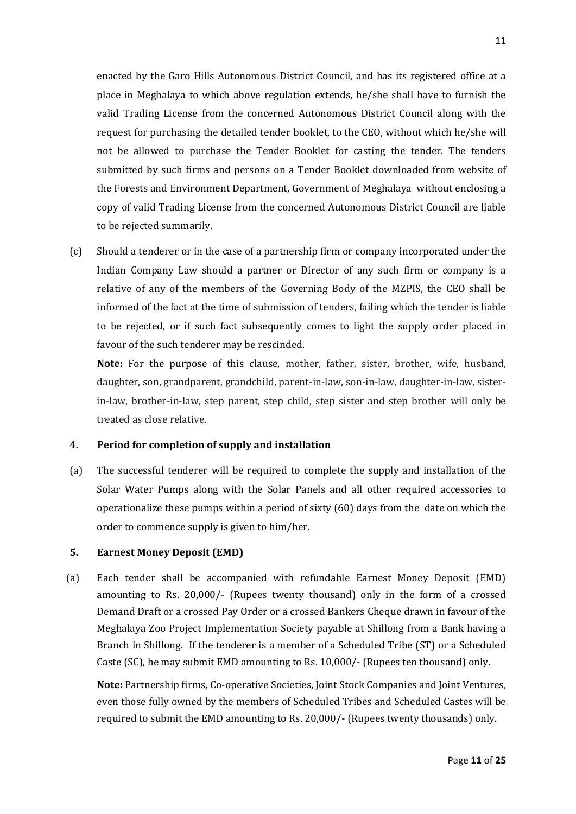enacted by the Garo Hills Autonomous District Council, and has its registered office at a place in Meghalaya to which above regulation extends, he/she shall have to furnish the valid Trading License from the concerned Autonomous District Council along with the request for purchasing the detailed tender booklet, to the CEO, without which he/she will not be allowed to purchase the Tender Booklet for casting the tender. The tenders submitted by such firms and persons on a Tender Booklet downloaded from website of the Forests and Environment Department, Government of Meghalaya without enclosing a copy of valid Trading License from the concerned Autonomous District Council are liable to be rejected summarily.

(c) Should a tenderer or in the case of a partnership firm or company incorporated under the Indian Company Law should a partner or Director of any such firm or company is a relative of any of the members of the Governing Body of the MZPIS, the CEO shall be informed of the fact at the time of submission of tenders, failing which the tender is liable to be rejected, or if such fact subsequently comes to light the supply order placed in favour of the such tenderer may be rescinded.

**Note:** For the purpose of this clause, mother, father, sister, brother, wife, husband, daughter, son, grandparent, grandchild, parent-in-law, son-in-law, daughter-in-law, sisterin-law, brother-in-law, step parent, step child, step sister and step brother will only be treated as close relative.

#### **4. Period for completion of supply and installation**

(a) The successful tenderer will be required to complete the supply and installation of the Solar Water Pumps along with the Solar Panels and all other required accessories to operationalize these pumps within a period of sixty (60) days from the date on which the order to commence supply is given to him/her.

#### **5. Earnest Money Deposit (EMD)**

(a) Each tender shall be accompanied with refundable Earnest Money Deposit (EMD) amounting to Rs. 20,000/- (Rupees twenty thousand) only in the form of a crossed Demand Draft or a crossed Pay Order or a crossed Bankers Cheque drawn in favour of the Meghalaya Zoo Project Implementation Society payable at Shillong from a Bank having a Branch in Shillong. If the tenderer is a member of a Scheduled Tribe (ST) or a Scheduled Caste (SC), he may submit EMD amounting to Rs. 10,000/- (Rupees ten thousand) only.

**Note:** Partnership firms, Co-operative Societies, Joint Stock Companies and Joint Ventures, even those fully owned by the members of Scheduled Tribes and Scheduled Castes will be required to submit the EMD amounting to Rs. 20,000/- (Rupees twenty thousands) only.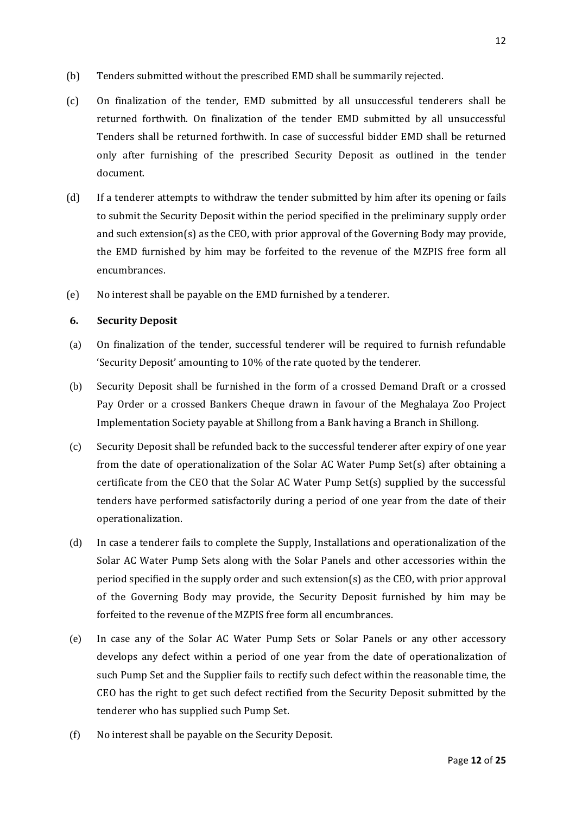- (b) Tenders submitted without the prescribed EMD shall be summarily rejected.
- (c) On finalization of the tender, EMD submitted by all unsuccessful tenderers shall be returned forthwith. On finalization of the tender EMD submitted by all unsuccessful Tenders shall be returned forthwith. In case of successful bidder EMD shall be returned only after furnishing of the prescribed Security Deposit as outlined in the tender document.
- (d) If a tenderer attempts to withdraw the tender submitted by him after its opening or fails to submit the Security Deposit within the period specified in the preliminary supply order and such extension(s) as the CEO, with prior approval of the Governing Body may provide, the EMD furnished by him may be forfeited to the revenue of the MZPIS free form all encumbrances.
- (e) No interest shall be payable on the EMD furnished by a tenderer.

#### **6. Security Deposit**

- (a) On finalization of the tender, successful tenderer will be required to furnish refundable 'Security Deposit' amounting to 10% of the rate quoted by the tenderer.
- (b) Security Deposit shall be furnished in the form of a crossed Demand Draft or a crossed Pay Order or a crossed Bankers Cheque drawn in favour of the Meghalaya Zoo Project Implementation Society payable at Shillong from a Bank having a Branch in Shillong.
- (c) Security Deposit shall be refunded back to the successful tenderer after expiry of one year from the date of operationalization of the Solar AC Water Pump Set(s) after obtaining a certificate from the CEO that the Solar AC Water Pump Set(s) supplied by the successful tenders have performed satisfactorily during a period of one year from the date of their operationalization.
- (d) In case a tenderer fails to complete the Supply, Installations and operationalization of the Solar AC Water Pump Sets along with the Solar Panels and other accessories within the period specified in the supply order and such extension(s) as the CEO, with prior approval of the Governing Body may provide, the Security Deposit furnished by him may be forfeited to the revenue of the MZPIS free form all encumbrances.
- (e) In case any of the Solar AC Water Pump Sets or Solar Panels or any other accessory develops any defect within a period of one year from the date of operationalization of such Pump Set and the Supplier fails to rectify such defect within the reasonable time, the CEO has the right to get such defect rectified from the Security Deposit submitted by the tenderer who has supplied such Pump Set.
- (f) No interest shall be payable on the Security Deposit.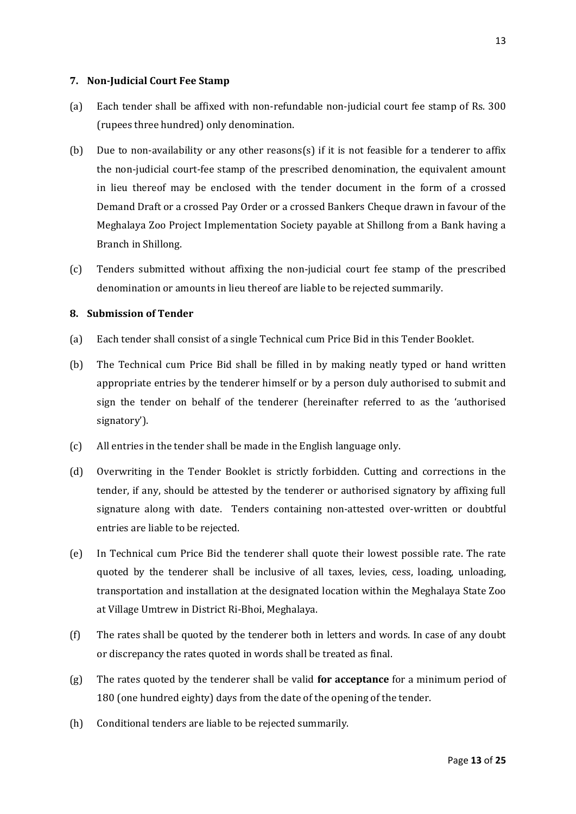#### **7. Non-Judicial Court Fee Stamp**

- (a) Each tender shall be affixed with non-refundable non-judicial court fee stamp of Rs. 300 (rupees three hundred) only denomination.
- (b) Due to non-availability or any other reasons(s) if it is not feasible for a tenderer to affix the non-judicial court-fee stamp of the prescribed denomination, the equivalent amount in lieu thereof may be enclosed with the tender document in the form of a crossed Demand Draft or a crossed Pay Order or a crossed Bankers Cheque drawn in favour of the Meghalaya Zoo Project Implementation Society payable at Shillong from a Bank having a Branch in Shillong.
- (c) Tenders submitted without affixing the non-judicial court fee stamp of the prescribed denomination or amounts in lieu thereof are liable to be rejected summarily.

#### **8. Submission of Tender**

- (a) Each tender shall consist of a single Technical cum Price Bid in this Tender Booklet.
- (b) The Technical cum Price Bid shall be filled in by making neatly typed or hand written appropriate entries by the tenderer himself or by a person duly authorised to submit and sign the tender on behalf of the tenderer (hereinafter referred to as the 'authorised signatory').
- (c) All entries in the tender shall be made in the English language only.
- (d) Overwriting in the Tender Booklet is strictly forbidden. Cutting and corrections in the tender, if any, should be attested by the tenderer or authorised signatory by affixing full signature along with date. Tenders containing non-attested over-written or doubtful entries are liable to be rejected.
- (e) In Technical cum Price Bid the tenderer shall quote their lowest possible rate. The rate quoted by the tenderer shall be inclusive of all taxes, levies, cess, loading, unloading, transportation and installation at the designated location within the Meghalaya State Zoo at Village Umtrew in District Ri-Bhoi, Meghalaya.
- (f) The rates shall be quoted by the tenderer both in letters and words. In case of any doubt or discrepancy the rates quoted in words shall be treated as final.
- (g) The rates quoted by the tenderer shall be valid **for acceptance** for a minimum period of 180 (one hundred eighty) days from the date of the opening of the tender.
- (h) Conditional tenders are liable to be rejected summarily.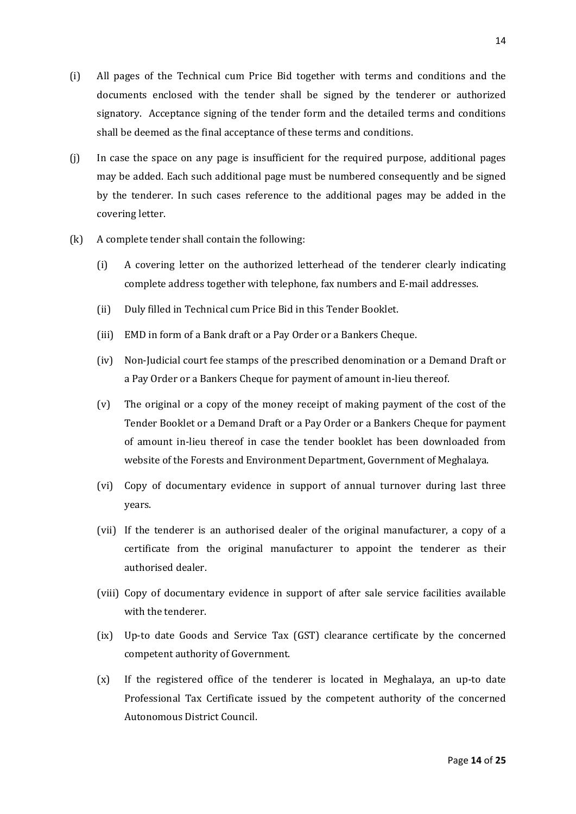- (i) All pages of the Technical cum Price Bid together with terms and conditions and the documents enclosed with the tender shall be signed by the tenderer or authorized signatory. Acceptance signing of the tender form and the detailed terms and conditions shall be deemed as the final acceptance of these terms and conditions.
- (j) In case the space on any page is insufficient for the required purpose, additional pages may be added. Each such additional page must be numbered consequently and be signed by the tenderer. In such cases reference to the additional pages may be added in the covering letter.
- (k) A complete tender shall contain the following:
	- (i) A covering letter on the authorized letterhead of the tenderer clearly indicating complete address together with telephone, fax numbers and E-mail addresses.
	- (ii) Duly filled in Technical cum Price Bid in this Tender Booklet.
	- (iii) EMD in form of a Bank draft or a Pay Order or a Bankers Cheque.
	- (iv) Non-Judicial court fee stamps of the prescribed denomination or a Demand Draft or a Pay Order or a Bankers Cheque for payment of amount in-lieu thereof.
	- (v) The original or a copy of the money receipt of making payment of the cost of the Tender Booklet or a Demand Draft or a Pay Order or a Bankers Cheque for payment of amount in-lieu thereof in case the tender booklet has been downloaded from website of the Forests and Environment Department, Government of Meghalaya.
	- (vi) Copy of documentary evidence in support of annual turnover during last three years.
	- (vii) If the tenderer is an authorised dealer of the original manufacturer, a copy of a certificate from the original manufacturer to appoint the tenderer as their authorised dealer.
	- (viii) Copy of documentary evidence in support of after sale service facilities available with the tenderer.
	- (ix) Up-to date Goods and Service Tax (GST) clearance certificate by the concerned competent authority of Government.
	- (x) If the registered office of the tenderer is located in Meghalaya, an up-to date Professional Tax Certificate issued by the competent authority of the concerned Autonomous District Council.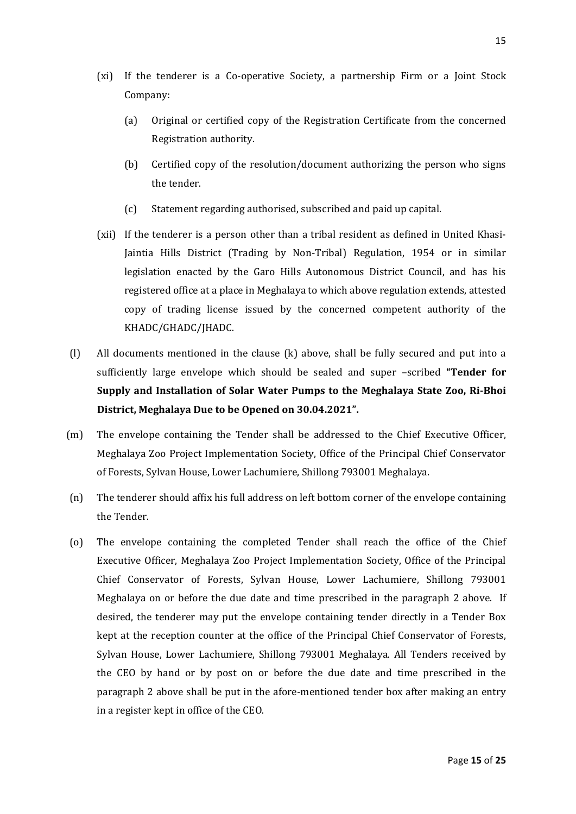- (xi) If the tenderer is a Co-operative Society, a partnership Firm or a Joint Stock Company:
	- (a) Original or certified copy of the Registration Certificate from the concerned Registration authority.
	- (b) Certified copy of the resolution/document authorizing the person who signs the tender.
	- (c) Statement regarding authorised, subscribed and paid up capital.
- (xii) If the tenderer is a person other than a tribal resident as defined in United Khasi-Jaintia Hills District (Trading by Non-Tribal) Regulation, 1954 or in similar legislation enacted by the Garo Hills Autonomous District Council, and has his registered office at a place in Meghalaya to which above regulation extends, attested copy of trading license issued by the concerned competent authority of the KHADC/GHADC/JHADC.
- (l) All documents mentioned in the clause (k) above, shall be fully secured and put into a sufficiently large envelope which should be sealed and super –scribed **"Tender for Supply and Installation of Solar Water Pumps to the Meghalaya State Zoo, Ri-Bhoi District, Meghalaya Due to be Opened on 30.04.2021".**
- (m) The envelope containing the Tender shall be addressed to the Chief Executive Officer, Meghalaya Zoo Project Implementation Society, Office of the Principal Chief Conservator of Forests, Sylvan House, Lower Lachumiere, Shillong 793001 Meghalaya.
- (n) The tenderer should affix his full address on left bottom corner of the envelope containing the Tender.
- (o) The envelope containing the completed Tender shall reach the office of the Chief Executive Officer, Meghalaya Zoo Project Implementation Society, Office of the Principal Chief Conservator of Forests, Sylvan House, Lower Lachumiere, Shillong 793001 Meghalaya on or before the due date and time prescribed in the paragraph 2 above. If desired, the tenderer may put the envelope containing tender directly in a Tender Box kept at the reception counter at the office of the Principal Chief Conservator of Forests, Sylvan House, Lower Lachumiere, Shillong 793001 Meghalaya. All Tenders received by the CEO by hand or by post on or before the due date and time prescribed in the paragraph 2 above shall be put in the afore-mentioned tender box after making an entry in a register kept in office of the CEO.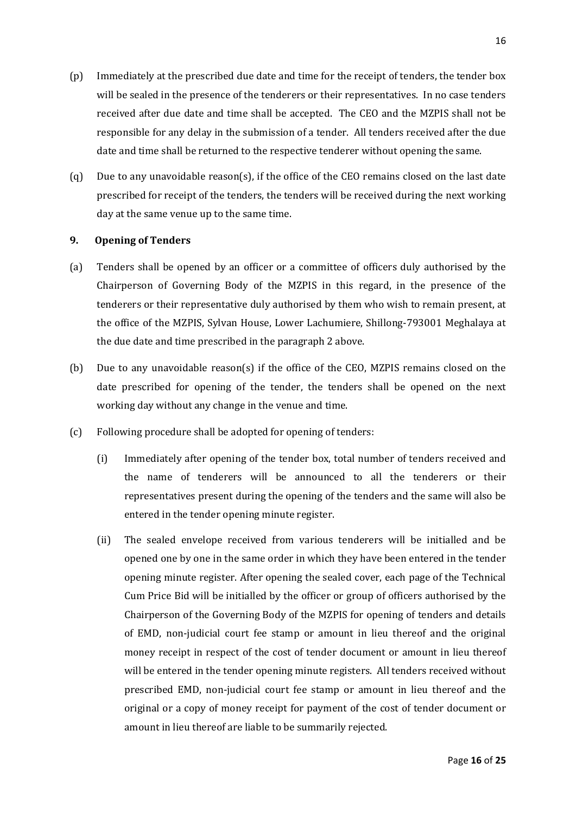- (p) Immediately at the prescribed due date and time for the receipt of tenders, the tender box will be sealed in the presence of the tenderers or their representatives. In no case tenders received after due date and time shall be accepted. The CEO and the MZPIS shall not be responsible for any delay in the submission of a tender. All tenders received after the due date and time shall be returned to the respective tenderer without opening the same.
- (q) Due to any unavoidable reason(s), if the office of the CEO remains closed on the last date prescribed for receipt of the tenders, the tenders will be received during the next working day at the same venue up to the same time.

#### **9. Opening of Tenders**

- (a) Tenders shall be opened by an officer or a committee of officers duly authorised by the Chairperson of Governing Body of the MZPIS in this regard, in the presence of the tenderers or their representative duly authorised by them who wish to remain present, at the office of the MZPIS, Sylvan House, Lower Lachumiere, Shillong-793001 Meghalaya at the due date and time prescribed in the paragraph 2 above.
- (b) Due to any unavoidable reason(s) if the office of the CEO, MZPIS remains closed on the date prescribed for opening of the tender, the tenders shall be opened on the next working day without any change in the venue and time.
- (c) Following procedure shall be adopted for opening of tenders:
	- (i) Immediately after opening of the tender box, total number of tenders received and the name of tenderers will be announced to all the tenderers or their representatives present during the opening of the tenders and the same will also be entered in the tender opening minute register.
	- (ii) The sealed envelope received from various tenderers will be initialled and be opened one by one in the same order in which they have been entered in the tender opening minute register. After opening the sealed cover, each page of the Technical Cum Price Bid will be initialled by the officer or group of officers authorised by the Chairperson of the Governing Body of the MZPIS for opening of tenders and details of EMD, non-judicial court fee stamp or amount in lieu thereof and the original money receipt in respect of the cost of tender document or amount in lieu thereof will be entered in the tender opening minute registers. All tenders received without prescribed EMD, non-judicial court fee stamp or amount in lieu thereof and the original or a copy of money receipt for payment of the cost of tender document or amount in lieu thereof are liable to be summarily rejected.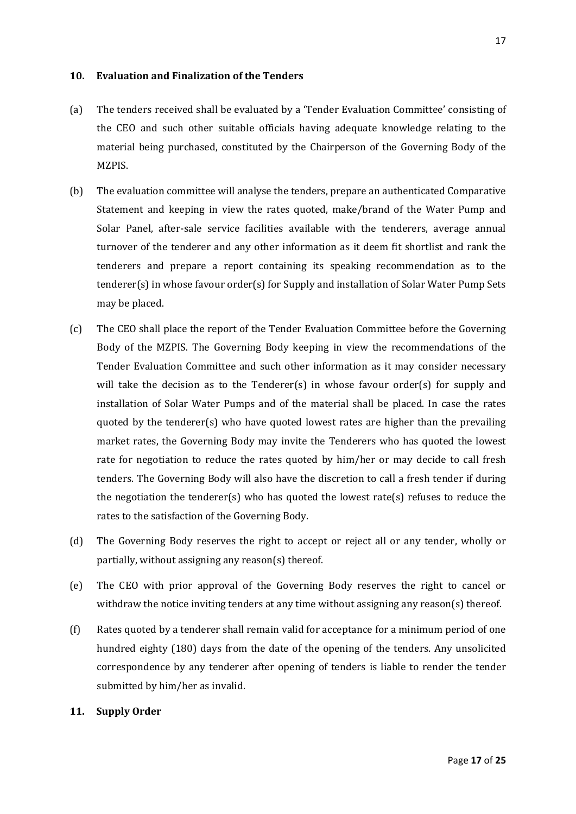#### **10. Evaluation and Finalization of the Tenders**

- (a) The tenders received shall be evaluated by a 'Tender Evaluation Committee' consisting of the CEO and such other suitable officials having adequate knowledge relating to the material being purchased, constituted by the Chairperson of the Governing Body of the MZPIS.
- (b) The evaluation committee will analyse the tenders, prepare an authenticated Comparative Statement and keeping in view the rates quoted, make/brand of the Water Pump and Solar Panel, after-sale service facilities available with the tenderers, average annual turnover of the tenderer and any other information as it deem fit shortlist and rank the tenderers and prepare a report containing its speaking recommendation as to the tenderer(s) in whose favour order(s) for Supply and installation of Solar Water Pump Sets may be placed.
- (c) The CEO shall place the report of the Tender Evaluation Committee before the Governing Body of the MZPIS. The Governing Body keeping in view the recommendations of the Tender Evaluation Committee and such other information as it may consider necessary will take the decision as to the Tenderer(s) in whose favour order(s) for supply and installation of Solar Water Pumps and of the material shall be placed. In case the rates quoted by the tenderer $(s)$  who have quoted lowest rates are higher than the prevailing market rates, the Governing Body may invite the Tenderers who has quoted the lowest rate for negotiation to reduce the rates quoted by him/her or may decide to call fresh tenders. The Governing Body will also have the discretion to call a fresh tender if during the negotiation the tenderer(s) who has quoted the lowest rate(s) refuses to reduce the rates to the satisfaction of the Governing Body.
- (d) The Governing Body reserves the right to accept or reject all or any tender, wholly or partially, without assigning any reason(s) thereof.
- (e) The CEO with prior approval of the Governing Body reserves the right to cancel or withdraw the notice inviting tenders at any time without assigning any reason(s) thereof.
- (f) Rates quoted by a tenderer shall remain valid for acceptance for a minimum period of one hundred eighty (180) days from the date of the opening of the tenders. Any unsolicited correspondence by any tenderer after opening of tenders is liable to render the tender submitted by him/her as invalid.

#### **11. Supply Order**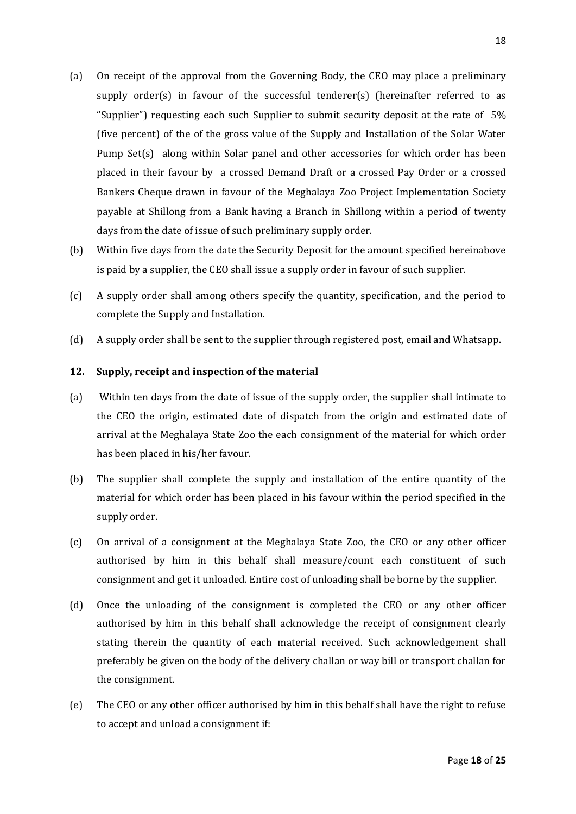- (a) On receipt of the approval from the Governing Body, the CEO may place a preliminary supply order(s) in favour of the successful tenderer(s) (hereinafter referred to as "Supplier") requesting each such Supplier to submit security deposit at the rate of 5% (five percent) of the of the gross value of the Supply and Installation of the Solar Water Pump Set(s) along within Solar panel and other accessories for which order has been placed in their favour by a crossed Demand Draft or a crossed Pay Order or a crossed Bankers Cheque drawn in favour of the Meghalaya Zoo Project Implementation Society payable at Shillong from a Bank having a Branch in Shillong within a period of twenty days from the date of issue of such preliminary supply order.
- (b) Within five days from the date the Security Deposit for the amount specified hereinabove is paid by a supplier, the CEO shall issue a supply order in favour of such supplier.
- (c) A supply order shall among others specify the quantity, specification, and the period to complete the Supply and Installation.
- (d) A supply order shall be sent to the supplier through registered post, email and Whatsapp.

#### **12. Supply, receipt and inspection of the material**

- (a) Within ten days from the date of issue of the supply order, the supplier shall intimate to the CEO the origin, estimated date of dispatch from the origin and estimated date of arrival at the Meghalaya State Zoo the each consignment of the material for which order has been placed in his/her favour.
- (b) The supplier shall complete the supply and installation of the entire quantity of the material for which order has been placed in his favour within the period specified in the supply order.
- (c) On arrival of a consignment at the Meghalaya State Zoo, the CEO or any other officer authorised by him in this behalf shall measure/count each constituent of such consignment and get it unloaded. Entire cost of unloading shall be borne by the supplier.
- (d) Once the unloading of the consignment is completed the CEO or any other officer authorised by him in this behalf shall acknowledge the receipt of consignment clearly stating therein the quantity of each material received. Such acknowledgement shall preferably be given on the body of the delivery challan or way bill or transport challan for the consignment.
- (e) The CEO or any other officer authorised by him in this behalf shall have the right to refuse to accept and unload a consignment if: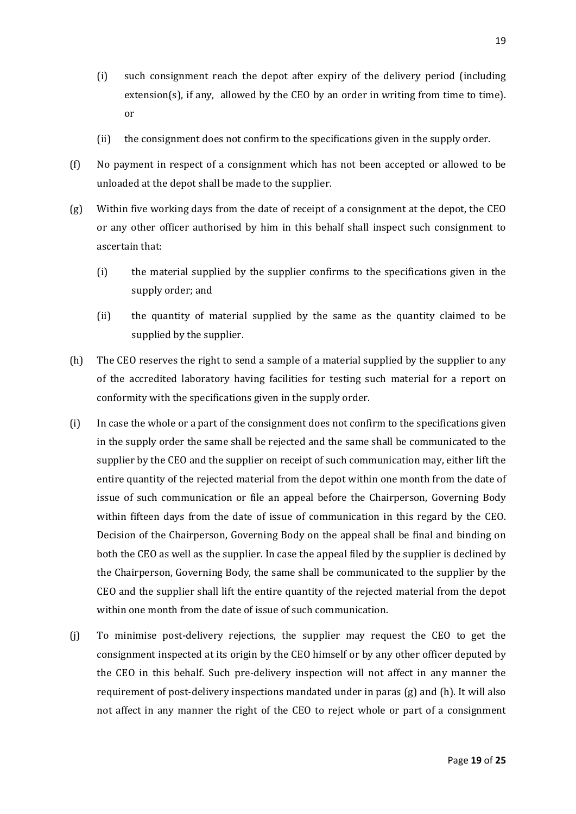- (i) such consignment reach the depot after expiry of the delivery period (including extension(s), if any, allowed by the CEO by an order in writing from time to time). or
- (ii) the consignment does not confirm to the specifications given in the supply order.
- (f) No payment in respect of a consignment which has not been accepted or allowed to be unloaded at the depot shall be made to the supplier.
- (g) Within five working days from the date of receipt of a consignment at the depot, the CEO or any other officer authorised by him in this behalf shall inspect such consignment to ascertain that:
	- (i) the material supplied by the supplier confirms to the specifications given in the supply order; and
	- (ii) the quantity of material supplied by the same as the quantity claimed to be supplied by the supplier.
- (h) The CEO reserves the right to send a sample of a material supplied by the supplier to any of the accredited laboratory having facilities for testing such material for a report on conformity with the specifications given in the supply order.
- (i) In case the whole or a part of the consignment does not confirm to the specifications given in the supply order the same shall be rejected and the same shall be communicated to the supplier by the CEO and the supplier on receipt of such communication may, either lift the entire quantity of the rejected material from the depot within one month from the date of issue of such communication or file an appeal before the Chairperson, Governing Body within fifteen days from the date of issue of communication in this regard by the CEO. Decision of the Chairperson, Governing Body on the appeal shall be final and binding on both the CEO as well as the supplier. In case the appeal filed by the supplier is declined by the Chairperson, Governing Body, the same shall be communicated to the supplier by the CEO and the supplier shall lift the entire quantity of the rejected material from the depot within one month from the date of issue of such communication.
- (j) To minimise post-delivery rejections, the supplier may request the CEO to get the consignment inspected at its origin by the CEO himself or by any other officer deputed by the CEO in this behalf. Such pre-delivery inspection will not affect in any manner the requirement of post-delivery inspections mandated under in paras (g) and (h). It will also not affect in any manner the right of the CEO to reject whole or part of a consignment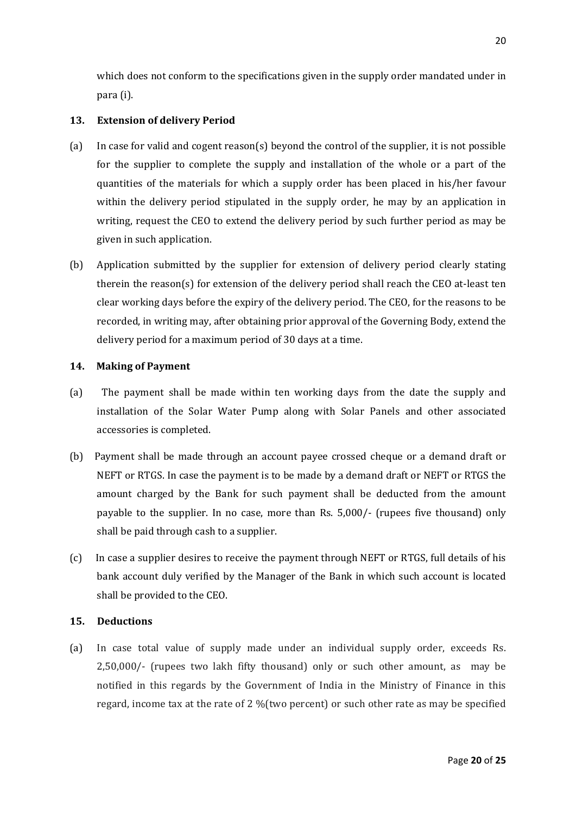which does not conform to the specifications given in the supply order mandated under in para (i).

#### **13. Extension of delivery Period**

- (a) In case for valid and cogent reason(s) beyond the control of the supplier, it is not possible for the supplier to complete the supply and installation of the whole or a part of the quantities of the materials for which a supply order has been placed in his/her favour within the delivery period stipulated in the supply order, he may by an application in writing, request the CEO to extend the delivery period by such further period as may be given in such application.
- (b) Application submitted by the supplier for extension of delivery period clearly stating therein the reason(s) for extension of the delivery period shall reach the CEO at-least ten clear working days before the expiry of the delivery period. The CEO, for the reasons to be recorded, in writing may, after obtaining prior approval of the Governing Body, extend the delivery period for a maximum period of 30 days at a time.

#### **14. Making of Payment**

- (a) The payment shall be made within ten working days from the date the supply and installation of the Solar Water Pump along with Solar Panels and other associated accessories is completed.
- (b) Payment shall be made through an account payee crossed cheque or a demand draft or NEFT or RTGS. In case the payment is to be made by a demand draft or NEFT or RTGS the amount charged by the Bank for such payment shall be deducted from the amount payable to the supplier. In no case, more than Rs. 5,000/- (rupees five thousand) only shall be paid through cash to a supplier.
- (c) In case a supplier desires to receive the payment through NEFT or RTGS, full details of his bank account duly verified by the Manager of the Bank in which such account is located shall be provided to the CEO.

#### **15. Deductions**

(a) In case total value of supply made under an individual supply order, exceeds Rs. 2,50,000/- (rupees two lakh fifty thousand) only or such other amount, as may be notified in this regards by the Government of India in the Ministry of Finance in this regard, income tax at the rate of 2 %(two percent) or such other rate as may be specified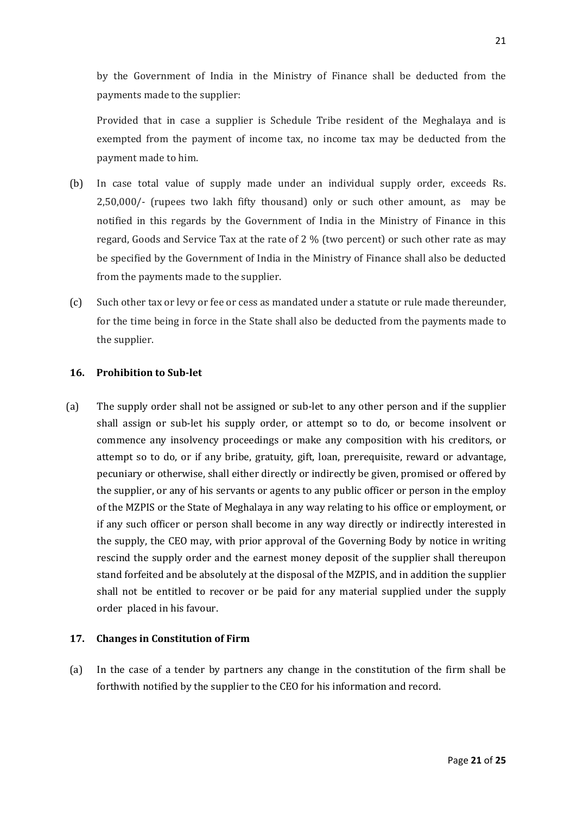by the Government of India in the Ministry of Finance shall be deducted from the payments made to the supplier:

Provided that in case a supplier is Schedule Tribe resident of the Meghalaya and is exempted from the payment of income tax, no income tax may be deducted from the payment made to him.

- (b) In case total value of supply made under an individual supply order, exceeds Rs. 2,50,000/- (rupees two lakh fifty thousand) only or such other amount, as may be notified in this regards by the Government of India in the Ministry of Finance in this regard, Goods and Service Tax at the rate of 2 % (two percent) or such other rate as may be specified by the Government of India in the Ministry of Finance shall also be deducted from the payments made to the supplier.
- (c) Such other tax or levy or fee or cess as mandated under a statute or rule made thereunder, for the time being in force in the State shall also be deducted from the payments made to the supplier.

#### **16. Prohibition to Sub-let**

(a) The supply order shall not be assigned or sub-let to any other person and if the supplier shall assign or sub-let his supply order, or attempt so to do, or become insolvent or commence any insolvency proceedings or make any composition with his creditors, or attempt so to do, or if any bribe, gratuity, gift, loan, prerequisite, reward or advantage, pecuniary or otherwise, shall either directly or indirectly be given, promised or offered by the supplier, or any of his servants or agents to any public officer or person in the employ of the MZPIS or the State of Meghalaya in any way relating to his office or employment, or if any such officer or person shall become in any way directly or indirectly interested in the supply, the CEO may, with prior approval of the Governing Body by notice in writing rescind the supply order and the earnest money deposit of the supplier shall thereupon stand forfeited and be absolutely at the disposal of the MZPIS, and in addition the supplier shall not be entitled to recover or be paid for any material supplied under the supply order placed in his favour.

#### **17. Changes in Constitution of Firm**

(a) In the case of a tender by partners any change in the constitution of the firm shall be forthwith notified by the supplier to the CEO for his information and record.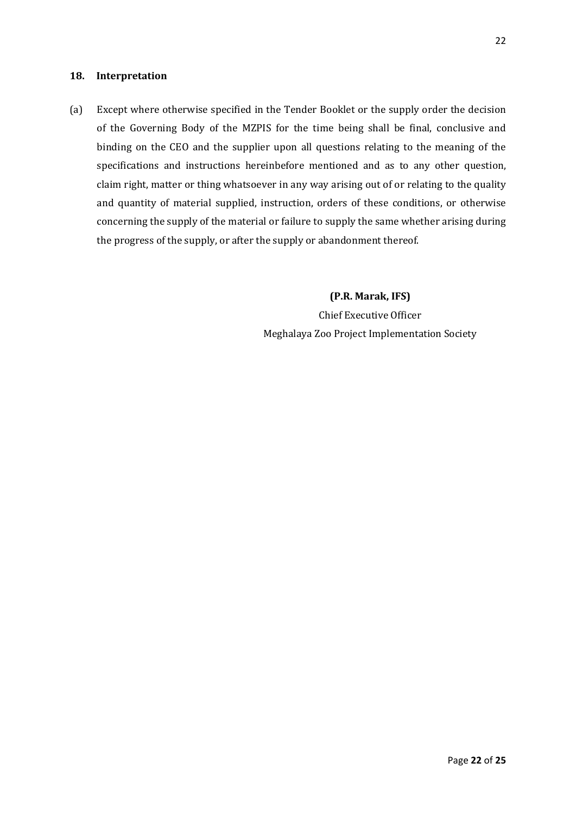#### **18. Interpretation**

(a) Except where otherwise specified in the Tender Booklet or the supply order the decision of the Governing Body of the MZPIS for the time being shall be final, conclusive and binding on the CEO and the supplier upon all questions relating to the meaning of the specifications and instructions hereinbefore mentioned and as to any other question, claim right, matter or thing whatsoever in any way arising out of or relating to the quality and quantity of material supplied, instruction, orders of these conditions, or otherwise concerning the supply of the material or failure to supply the same whether arising during the progress of the supply, or after the supply or abandonment thereof.

> **(P.R. Marak, IFS)** Chief Executive Officer Meghalaya Zoo Project Implementation Society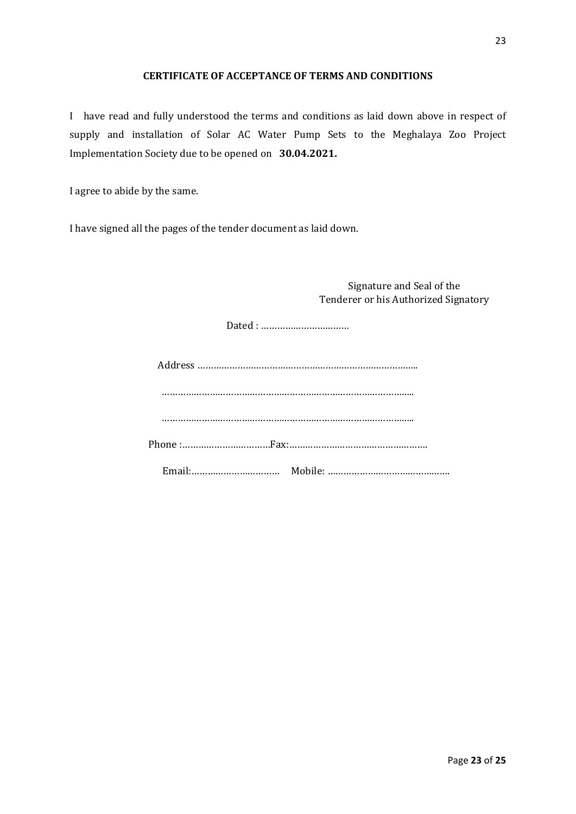#### **CERTIFICATE OF ACCEPTANCE OF TERMS AND CONDITIONS**

I have read and fully understood the terms and conditions as laid down above in respect of supply and installation of Solar AC Water Pump Sets to the Meghalaya Zoo Project Implementation Society due to be opened on **30.04.2021.**

I agree to abide by the same.

I have signed all the pages of the tender document as laid down.

Signature and Seal of the Tenderer or his Authorized Signatory

Dated : ……………………………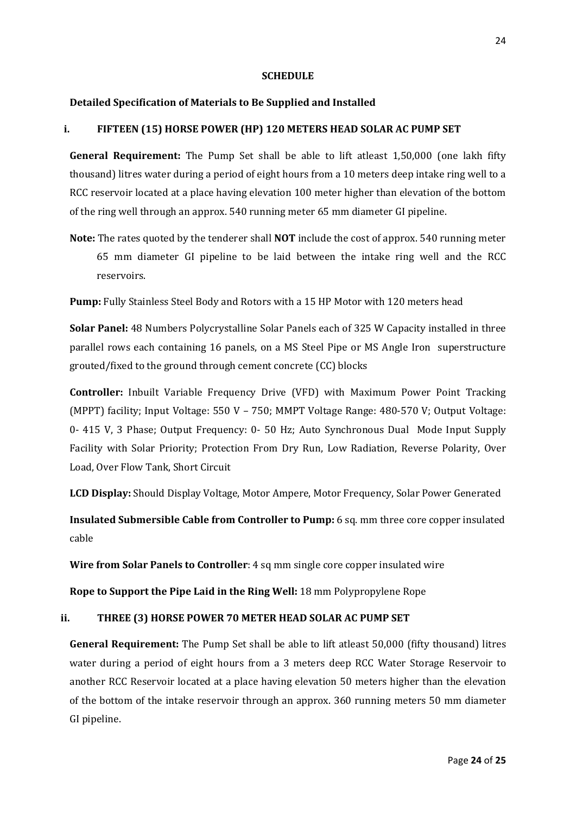#### **SCHEDULE**

#### **Detailed Specification of Materials to Be Supplied and Installed**

#### **i. FIFTEEN (15) HORSE POWER (HP) 120 METERS HEAD SOLAR AC PUMP SET**

**General Requirement:** The Pump Set shall be able to lift atleast 1,50,000 (one lakh fifty thousand) litres water during a period of eight hours from a 10 meters deep intake ring well to a RCC reservoir located at a place having elevation 100 meter higher than elevation of the bottom of the ring well through an approx. 540 running meter 65 mm diameter GI pipeline.

**Note:** The rates quoted by the tenderer shall **NOT** include the cost of approx. 540 running meter 65 mm diameter GI pipeline to be laid between the intake ring well and the RCC reservoirs.

**Pump:** Fully Stainless Steel Body and Rotors with a 15 HP Motor with 120 meters head

**Solar Panel:** 48 Numbers Polycrystalline Solar Panels each of 325 W Capacity installed in three parallel rows each containing 16 panels, on a MS Steel Pipe or MS Angle Iron superstructure grouted/fixed to the ground through cement concrete (CC) blocks

**Controller:** Inbuilt Variable Frequency Drive (VFD) with Maximum Power Point Tracking (MPPT) facility; Input Voltage: 550 V – 750; MMPT Voltage Range: 480-570 V; Output Voltage: 0- 415 V, 3 Phase; Output Frequency: 0- 50 Hz; Auto Synchronous Dual Mode Input Supply Facility with Solar Priority; Protection From Dry Run, Low Radiation, Reverse Polarity, Over Load, Over Flow Tank, Short Circuit

**LCD Display:** Should Display Voltage, Motor Ampere, Motor Frequency, Solar Power Generated

**Insulated Submersible Cable from Controller to Pump:** 6 sq. mm three core copper insulated cable

**Wire from Solar Panels to Controller**: 4 sq mm single core copper insulated wire

**Rope to Support the Pipe Laid in the Ring Well:** 18 mm Polypropylene Rope

#### **ii. THREE (3) HORSE POWER 70 METER HEAD SOLAR AC PUMP SET**

**General Requirement:** The Pump Set shall be able to lift atleast 50,000 (fifty thousand) litres water during a period of eight hours from a 3 meters deep RCC Water Storage Reservoir to another RCC Reservoir located at a place having elevation 50 meters higher than the elevation of the bottom of the intake reservoir through an approx. 360 running meters 50 mm diameter GI pipeline.